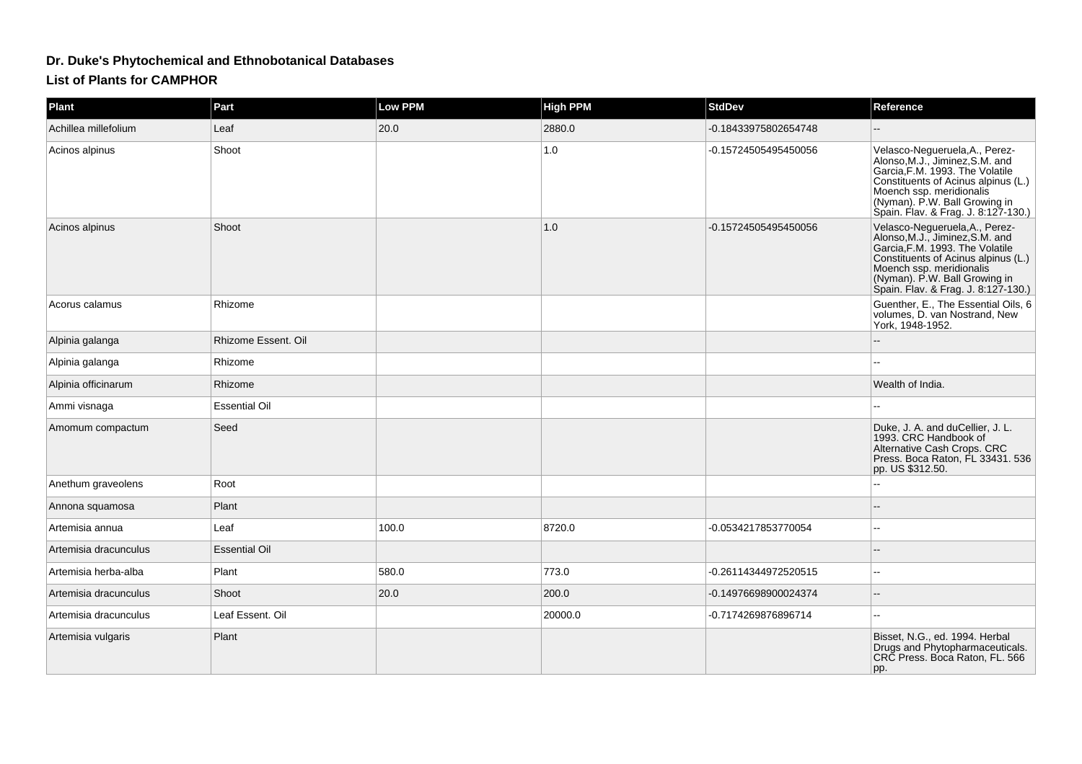## **Dr. Duke's Phytochemical and Ethnobotanical Databases**

## **List of Plants for CAMPHOR**

| Plant                 | Part                 | <b>Low PPM</b> | <b>High PPM</b> | <b>StdDev</b>        | Reference                                                                                                                                                                                                                                       |
|-----------------------|----------------------|----------------|-----------------|----------------------|-------------------------------------------------------------------------------------------------------------------------------------------------------------------------------------------------------------------------------------------------|
| Achillea millefolium  | Leaf                 | 20.0           | 2880.0          | -0.18433975802654748 |                                                                                                                                                                                                                                                 |
| Acinos alpinus        | Shoot                |                | 1.0             | -0.15724505495450056 | Velasco-Negueruela, A., Perez-<br>Alonso, M.J., Jiminez, S.M. and<br>Garcia, F.M. 1993. The Volatile<br>Constituents of Acinus alpinus (L.)<br>Moench ssp. meridionalis<br>(Nyman). P.W. Ball Growing in<br>Spain. Flav. & Frag. J. 8.127-130.) |
| Acinos alpinus        | Shoot                |                | 1.0             | -0.15724505495450056 | Velasco-Negueruela, A., Perez-<br>Alonso, M.J., Jiminez, S.M. and<br>Garcia, F.M. 1993. The Volatile<br>Constituents of Acinus alpinus (L.)<br>Moench ssp. meridionalis<br>(Nyman). P.W. Ball Growing in<br>Spain. Flav. & Frag. J. 8:127-130.) |
| Acorus calamus        | Rhizome              |                |                 |                      | Guenther, E., The Essential Oils, 6<br>volumes, D. van Nostrand, New<br>York, 1948-1952.                                                                                                                                                        |
| Alpinia galanga       | Rhizome Essent, Oil  |                |                 |                      |                                                                                                                                                                                                                                                 |
| Alpinia galanga       | Rhizome              |                |                 |                      |                                                                                                                                                                                                                                                 |
| Alpinia officinarum   | Rhizome              |                |                 |                      | Wealth of India.                                                                                                                                                                                                                                |
| Ammi visnaga          | <b>Essential Oil</b> |                |                 |                      |                                                                                                                                                                                                                                                 |
| Amomum compactum      | Seed                 |                |                 |                      | Duke, J. A. and duCellier, J. L.<br>1993. CRC Handbook of<br>Alternative Cash Crops. CRC<br>Press. Boca Raton, FL 33431. 536<br>pp. US \$312.50.                                                                                                |
| Anethum graveolens    | Root                 |                |                 |                      |                                                                                                                                                                                                                                                 |
| Annona squamosa       | Plant                |                |                 |                      |                                                                                                                                                                                                                                                 |
| Artemisia annua       | Leaf                 | 100.0          | 8720.0          | -0.0534217853770054  | $\overline{a}$                                                                                                                                                                                                                                  |
| Artemisia dracunculus | <b>Essential Oil</b> |                |                 |                      |                                                                                                                                                                                                                                                 |
| Artemisia herba-alba  | Plant                | 580.0          | 773.0           | -0.26114344972520515 |                                                                                                                                                                                                                                                 |
| Artemisia dracunculus | Shoot                | 20.0           | 200.0           | -0.14976698900024374 |                                                                                                                                                                                                                                                 |
| Artemisia dracunculus | Leaf Essent. Oil     |                | 20000.0         | -0.7174269876896714  |                                                                                                                                                                                                                                                 |
| Artemisia vulgaris    | Plant                |                |                 |                      | Bisset, N.G., ed. 1994. Herbal<br>Drugs and Phytopharmaceuticals.<br>CRC Press. Boca Raton, FL. 566<br>pp.                                                                                                                                      |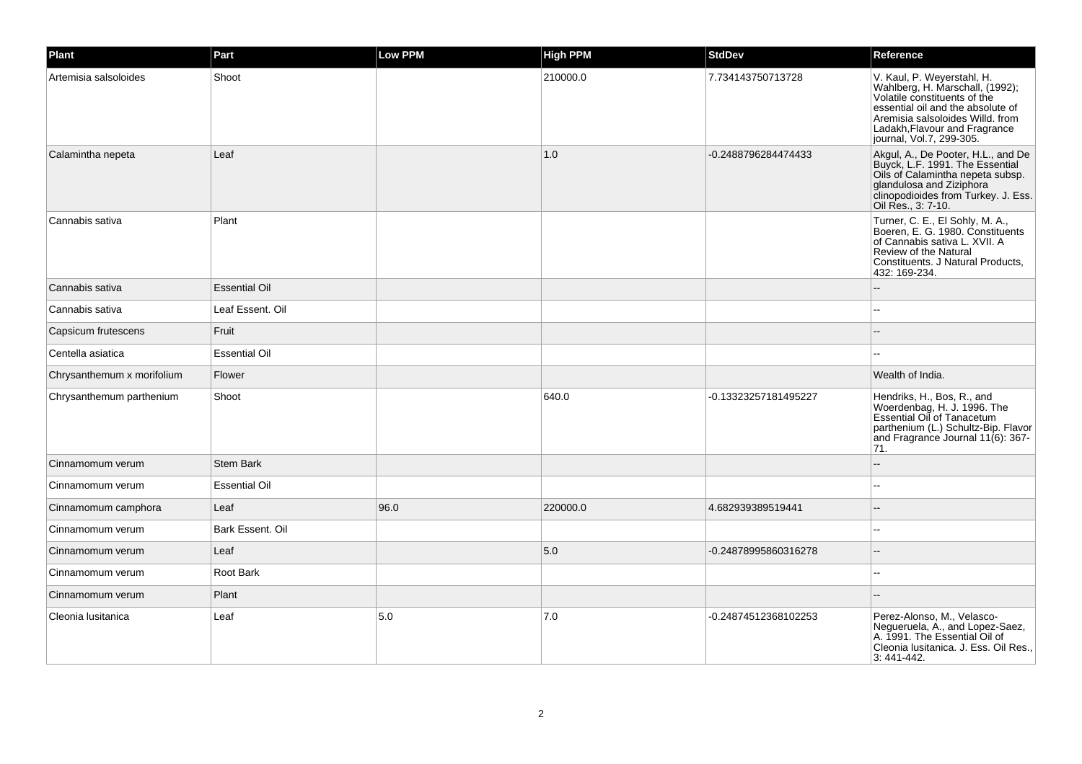| Plant                      | Part                 | <b>Low PPM</b> | <b>High PPM</b> | <b>StdDev</b>        | Reference                                                                                                                                                                                                                           |
|----------------------------|----------------------|----------------|-----------------|----------------------|-------------------------------------------------------------------------------------------------------------------------------------------------------------------------------------------------------------------------------------|
| Artemisia salsoloides      | Shoot                |                | 210000.0        | 7.734143750713728    | V. Kaul, P. Weyerstahl, H.<br>Wahlberg, H. Marschall, (1992);<br>Volatile constituents of the<br>essential oil and the absolute of<br>Aremisia salsoloides Willd. from<br>Ladakh, Flavour and Fragrance<br>journal, Vol.7, 299-305. |
| Calamintha nepeta          | Leaf                 |                | 1.0             | -0.2488796284474433  | Akgul, A., De Pooter, H.L., and De<br>Buyck, L.F. 1991. The Essential<br>Oils of Calamintha nepeta subsp.<br>glandulosa and Ziziphora<br>clinopodioides from Turkey. J. Ess.<br>Oil Res., 3: 7-10.                                  |
| Cannabis sativa            | Plant                |                |                 |                      | Turner, C. E., El Sohly, M. A.,<br>Boeren, E. G. 1980. Constituents<br>of Cannabis sativa L. XVII. A<br>Review of the Natural<br>Constituents. J Natural Products,<br>432: 169-234.                                                 |
| Cannabis sativa            | <b>Essential Oil</b> |                |                 |                      |                                                                                                                                                                                                                                     |
| Cannabis sativa            | Leaf Essent. Oil     |                |                 |                      |                                                                                                                                                                                                                                     |
| Capsicum frutescens        | Fruit                |                |                 |                      |                                                                                                                                                                                                                                     |
| Centella asiatica          | <b>Essential Oil</b> |                |                 |                      |                                                                                                                                                                                                                                     |
| Chrysanthemum x morifolium | Flower               |                |                 |                      | Wealth of India.                                                                                                                                                                                                                    |
| Chrysanthemum parthenium   | Shoot                |                | 640.0           | -0.13323257181495227 | Hendriks, H., Bos, R., and<br>Woerdenbag, H. J. 1996. The<br>Essential Oil of Tanacetum<br>parthenium (L.) Schultz-Bip. Flavor<br>and Fragrance Journal 11(6): 367-<br>71.                                                          |
| Cinnamomum verum           | <b>Stem Bark</b>     |                |                 |                      |                                                                                                                                                                                                                                     |
| Cinnamomum verum           | <b>Essential Oil</b> |                |                 |                      |                                                                                                                                                                                                                                     |
| Cinnamomum camphora        | Leaf                 | 96.0           | 220000.0        | 4.682939389519441    |                                                                                                                                                                                                                                     |
| Cinnamomum verum           | Bark Essent, Oil     |                |                 |                      | $\sim$                                                                                                                                                                                                                              |
| Cinnamomum verum           | Leaf                 |                | 5.0             | -0.24878995860316278 |                                                                                                                                                                                                                                     |
| Cinnamomum verum           | Root Bark            |                |                 |                      | $\sim$                                                                                                                                                                                                                              |
| Cinnamomum verum           | Plant                |                |                 |                      |                                                                                                                                                                                                                                     |
| Cleonia Iusitanica         | Leaf                 | 5.0            | 7.0             | -0.24874512368102253 | Perez-Alonso, M., Velasco-<br>Negueruela, A., and Lopez-Saez,<br>A. 1991. The Essential Oil of<br>Cleonia Iusitanica. J. Ess. Oil Res.,<br>3:441-442.                                                                               |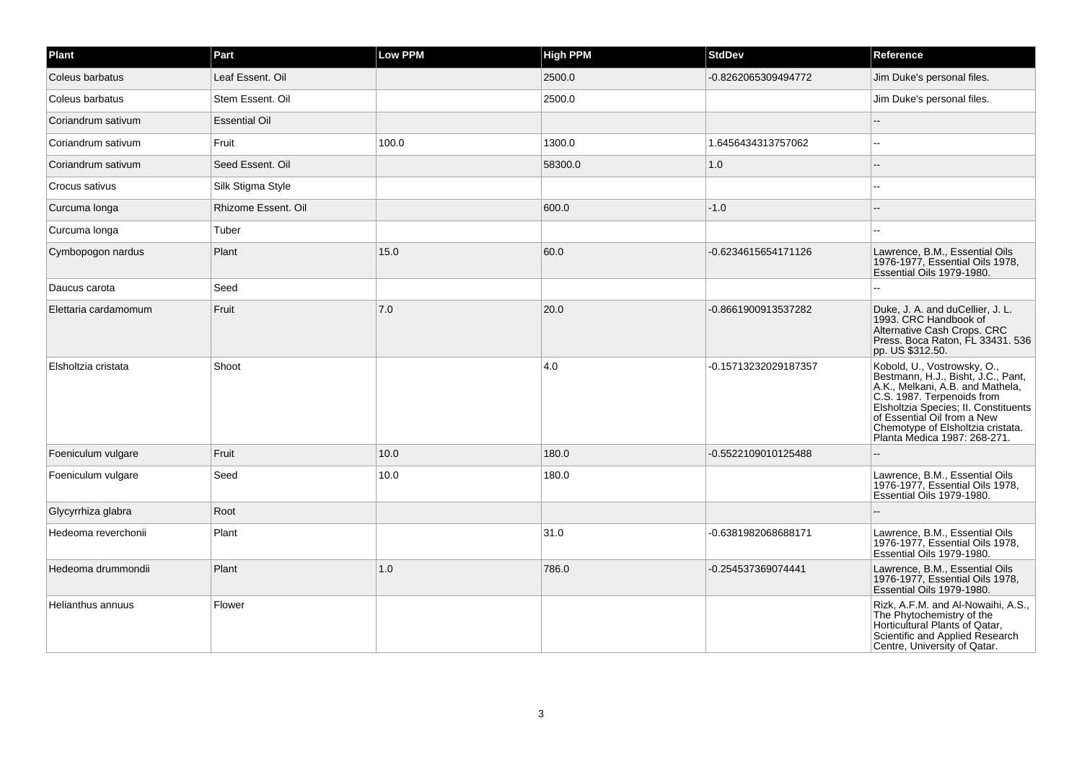| Plant                | Part                 | <b>Low PPM</b> | <b>High PPM</b> | <b>StdDev</b>        | Reference                                                                                                                                                                                                                                                                       |
|----------------------|----------------------|----------------|-----------------|----------------------|---------------------------------------------------------------------------------------------------------------------------------------------------------------------------------------------------------------------------------------------------------------------------------|
| Coleus barbatus      | Leaf Essent. Oil     |                | 2500.0          | -0.8262065309494772  | Jim Duke's personal files.                                                                                                                                                                                                                                                      |
| Coleus barbatus      | Stem Essent. Oil     |                | 2500.0          |                      | Jim Duke's personal files.                                                                                                                                                                                                                                                      |
| Coriandrum sativum   | <b>Essential Oil</b> |                |                 |                      |                                                                                                                                                                                                                                                                                 |
| Coriandrum sativum   | Fruit                | 100.0          | 1300.0          | 1.6456434313757062   |                                                                                                                                                                                                                                                                                 |
| Coriandrum sativum   | Seed Essent. Oil     |                | 58300.0         | $1.0$                |                                                                                                                                                                                                                                                                                 |
| Crocus sativus       | Silk Stigma Style    |                |                 |                      |                                                                                                                                                                                                                                                                                 |
| Curcuma longa        | Rhizome Essent. Oil  |                | 600.0           | $-1.0$               |                                                                                                                                                                                                                                                                                 |
| Curcuma longa        | Tuber                |                |                 |                      |                                                                                                                                                                                                                                                                                 |
| Cymbopogon nardus    | Plant                | 15.0           | 60.0            | -0.6234615654171126  | Lawrence, B.M., Essential Oils<br>1976-1977, Essential Oils 1978,<br>Essential Oils 1979-1980.                                                                                                                                                                                  |
| Daucus carota        | Seed                 |                |                 |                      |                                                                                                                                                                                                                                                                                 |
| Elettaria cardamomum | Fruit                | 7.0            | 20.0            | -0.8661900913537282  | Duke, J. A. and duCellier, J. L.<br>1993. CRC Handbook of<br>Alternative Cash Crops. CRC<br>Press. Boca Raton, FL 33431. 536<br>pp. US \$312.50.                                                                                                                                |
| Elsholtzia cristata  | Shoot                |                | 4.0             | -0.15713232029187357 | Kobold, U., Vostrowsky, O.,<br>Bestmann, H.J., Bisht, J.C., Pant,<br>A.K., Melkani, A.B. and Mathela,<br>C.S. 1987. Terpenoids from<br>Elsholtzia Species; II. Constituents<br>of Essential Oil from a New<br>Chemotype of Elsholtzia cristata.<br>Planta Medica 1987: 268-271. |
| Foeniculum vulgare   | Fruit                | 10.0           | 180.0           | -0.5522109010125488  |                                                                                                                                                                                                                                                                                 |
| Foeniculum vulgare   | Seed                 | 10.0           | 180.0           |                      | Lawrence, B.M., Essential Oils<br>1976-1977, Essential Oils 1978,<br>Essential Oils 1979-1980.                                                                                                                                                                                  |
| Glycyrrhiza glabra   | Root                 |                |                 |                      |                                                                                                                                                                                                                                                                                 |
| Hedeoma reverchonii  | Plant                |                | 31.0            | -0.6381982068688171  | Lawrence, B.M., Essential Oils<br>1976-1977, Essential Oils 1978,<br>Essential Oils 1979-1980.                                                                                                                                                                                  |
| Hedeoma drummondii   | Plant                | 1.0            | 786.0           | -0.254537369074441   | Lawrence, B.M., Essential Oils<br>1976-1977, Essential Oils 1978,<br>Essential Oils 1979-1980.                                                                                                                                                                                  |
| Helianthus annuus    | Flower               |                |                 |                      | Rizk, A.F.M. and Al-Nowaihi, A.S.,<br>The Phytochemistry of the<br>Horticultural Plants of Qatar,<br>Scientific and Applied Research<br>Centre, University of Qatar.                                                                                                            |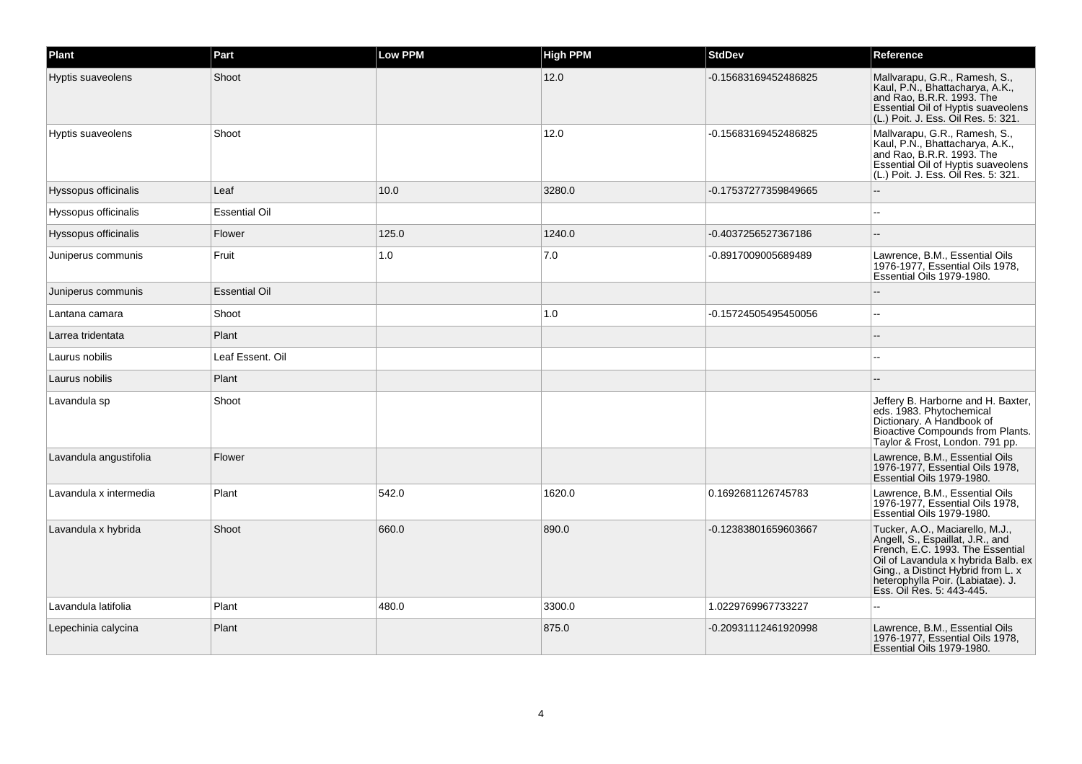| Plant                  | Part                 | <b>Low PPM</b> | <b>High PPM</b> | <b>StdDev</b>        | Reference                                                                                                                                                                                                                                              |
|------------------------|----------------------|----------------|-----------------|----------------------|--------------------------------------------------------------------------------------------------------------------------------------------------------------------------------------------------------------------------------------------------------|
| Hyptis suaveolens      | Shoot                |                | 12.0            | -0.15683169452486825 | Mallvarapu, G.R., Ramesh, S.,<br>Kaul, P.N., Bhattacharya, A.K.,<br>and Rao, B.R.R. 1993. The<br>Essential Oil of Hyptis suaveolens<br>(L.) Poit. J. Ess. Oil Res. 5: 321.                                                                             |
| Hyptis suaveolens      | Shoot                |                | 12.0            | -0.15683169452486825 | Mallvarapu, G.R., Ramesh, S.,<br>Kaul, P.N., Bhattacharya, A.K.,<br>and Rao, B.R.R. 1993. The<br>Essential Oil of Hyptis suaveolens<br>(L.) Poit. J. Ess. Oil Res. 5: 321.                                                                             |
| Hyssopus officinalis   | Leaf                 | 10.0           | 3280.0          | -0.17537277359849665 |                                                                                                                                                                                                                                                        |
| Hyssopus officinalis   | <b>Essential Oil</b> |                |                 |                      |                                                                                                                                                                                                                                                        |
| Hyssopus officinalis   | Flower               | 125.0          | 1240.0          | -0.4037256527367186  |                                                                                                                                                                                                                                                        |
| Juniperus communis     | Fruit                | 1.0            | 7.0             | -0.8917009005689489  | Lawrence, B.M., Essential Oils<br>1976-1977, Essential Oils 1978,<br>Essential Oils 1979-1980.                                                                                                                                                         |
| Juniperus communis     | <b>Essential Oil</b> |                |                 |                      |                                                                                                                                                                                                                                                        |
| Lantana camara         | Shoot                |                | 1.0             | -0.15724505495450056 |                                                                                                                                                                                                                                                        |
| Larrea tridentata      | Plant                |                |                 |                      |                                                                                                                                                                                                                                                        |
| Laurus nobilis         | Leaf Essent. Oil     |                |                 |                      |                                                                                                                                                                                                                                                        |
| Laurus nobilis         | Plant                |                |                 |                      |                                                                                                                                                                                                                                                        |
| Lavandula sp           | Shoot                |                |                 |                      | Jeffery B. Harborne and H. Baxter,<br>eds. 1983. Phytochemical<br>Dictionary. A Handbook of<br>Bioactive Compounds from Plants.<br>Taylor & Frost, London. 791 pp.                                                                                     |
| Lavandula angustifolia | Flower               |                |                 |                      | Lawrence, B.M., Essential Oils<br>1976-1977, Essential Oils 1978,<br>Essential Oils 1979-1980.                                                                                                                                                         |
| Lavandula x intermedia | Plant                | 542.0          | 1620.0          | 0.1692681126745783   | Lawrence, B.M., Essential Oils<br>1976-1977, Essential Oils 1978,<br>Essential Oils 1979-1980.                                                                                                                                                         |
| Lavandula x hybrida    | Shoot                | 660.0          | 890.0           | -0.12383801659603667 | Tucker, A.O., Maciarello, M.J.,<br>Angell, S., Espaillat, J.R., and<br>French, E.C. 1993. The Essential<br>Oil of Lavandula x hybrida Balb. ex<br>Ging., a Distinct Hybrid from L. x<br>heterophylla Poir. (Labiatae). J.<br>Ess. Oil Res. 5: 443-445. |
| Lavandula latifolia    | Plant                | 480.0          | 3300.0          | 1.0229769967733227   |                                                                                                                                                                                                                                                        |
| Lepechinia calycina    | Plant                |                | 875.0           | -0.20931112461920998 | Lawrence, B.M., Essential Oils<br>1976-1977, Essential Oils 1978,<br>Essential Oils 1979-1980.                                                                                                                                                         |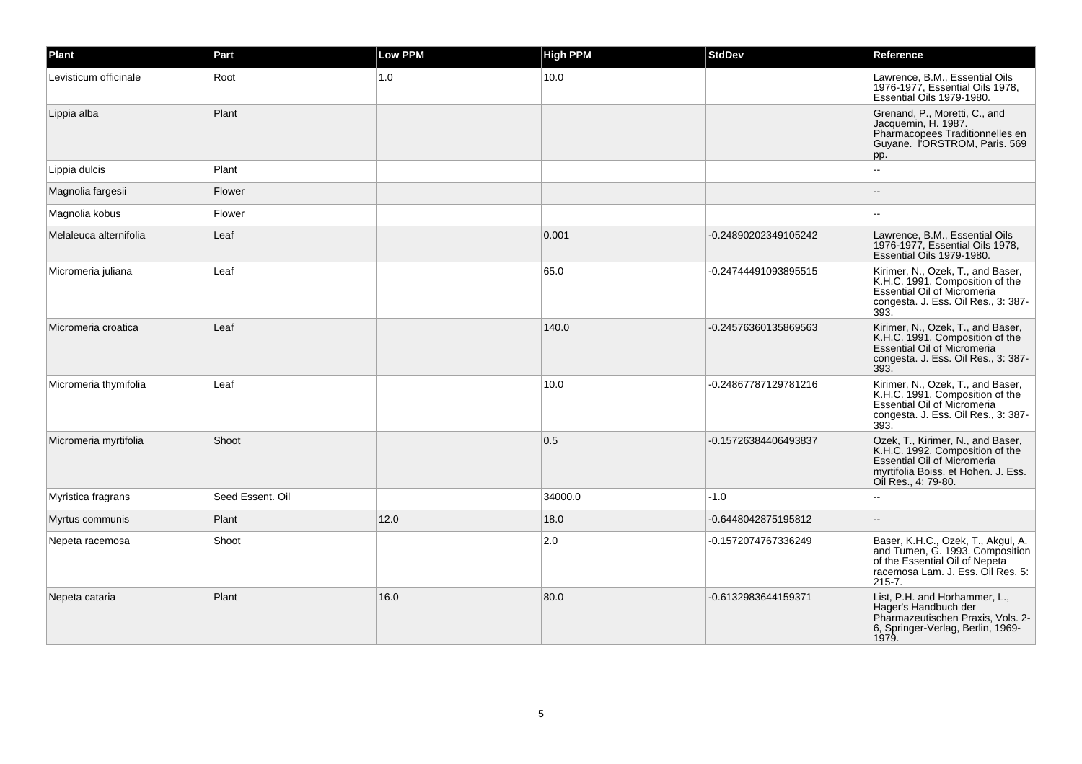| Plant                  | Part             | Low PPM | <b>High PPM</b> | <b>StdDev</b>        | Reference                                                                                                                                                                |
|------------------------|------------------|---------|-----------------|----------------------|--------------------------------------------------------------------------------------------------------------------------------------------------------------------------|
| Levisticum officinale  | Root             | 1.0     | 10.0            |                      | Lawrence, B.M., Essential Oils<br>1976-1977, Essential Oils 1978,<br>Essential Oils 1979-1980                                                                            |
| Lippia alba            | Plant            |         |                 |                      | Grenand, P., Moretti, C., and<br>Jacquemin, H. 1987.<br>Pharmacopees Traditionnelles en<br>Guyane. IORSTROM, Paris. 569<br>pp.                                           |
| Lippia dulcis          | Plant            |         |                 |                      |                                                                                                                                                                          |
| Magnolia fargesii      | Flower           |         |                 |                      |                                                                                                                                                                          |
| Magnolia kobus         | Flower           |         |                 |                      |                                                                                                                                                                          |
| Melaleuca alternifolia | Leaf             |         | 0.001           | -0.24890202349105242 | Lawrence, B.M., Essential Oils<br>1976-1977, Essential Oils 1978,<br>Essential Oils 1979-1980.                                                                           |
| Micromeria juliana     | Leaf             |         | 65.0            | -0.24744491093895515 | Kirimer, N., Ozek, T., and Baser,<br>K.H.C. 1991. Composition of the<br><b>Essential Oil of Micromeria</b><br>congesta. J. Ess. Oil Res., 3: 387-<br>393.                |
| Micromeria croatica    | Leaf             |         | 140.0           | -0.24576360135869563 | Kirimer, N., Ozek, T., and Baser,<br>K.H.C. 1991. Composition of the<br><b>Essential Oil of Micromeria</b><br>congesta. J. Ess. Oil Res., 3: 387-<br>393.                |
| Micromeria thymifolia  | Leaf             |         | 10.0            | -0.24867787129781216 | Kirimer, N., Ozek, T., and Baser,<br>K.H.C. 1991. Composition of the<br>Essential Oil of Micromeria<br>congesta. J. Ess. Oil Res., 3: 387-<br>393.                       |
| Micromeria myrtifolia  | Shoot            |         | 0.5             | -0.15726384406493837 | Ozek, T., Kirimer, N., and Baser,<br>K.H.C. 1992. Composition of the<br><b>Essential Oil of Micromeria</b><br>myrtifolia Boiss. et Hohen. J. Ess.<br>Oil Res., 4: 79-80. |
| Myristica fragrans     | Seed Essent. Oil |         | 34000.0         | $-1.0$               |                                                                                                                                                                          |
| Myrtus communis        | Plant            | 12.0    | 18.0            | -0.6448042875195812  |                                                                                                                                                                          |
| Nepeta racemosa        | Shoot            |         | 2.0             | -0.1572074767336249  | Baser, K.H.C., Ozek, T., Akgul, A.<br>and Tumen, G. 1993. Composition<br>of the Essential Oil of Nepeta<br>racemosa Lam. J. Ess. Oil Res. 5:<br>$215 - 7.$               |
| Nepeta cataria         | Plant            | 16.0    | 80.0            | -0.6132983644159371  | List, P.H. and Horhammer, L.,<br>Hager's Handbuch der<br>Pharmazeutischen Praxis, Vols. 2-<br>6, Springer-Verlag, Berlin, 1969-<br>1979.                                 |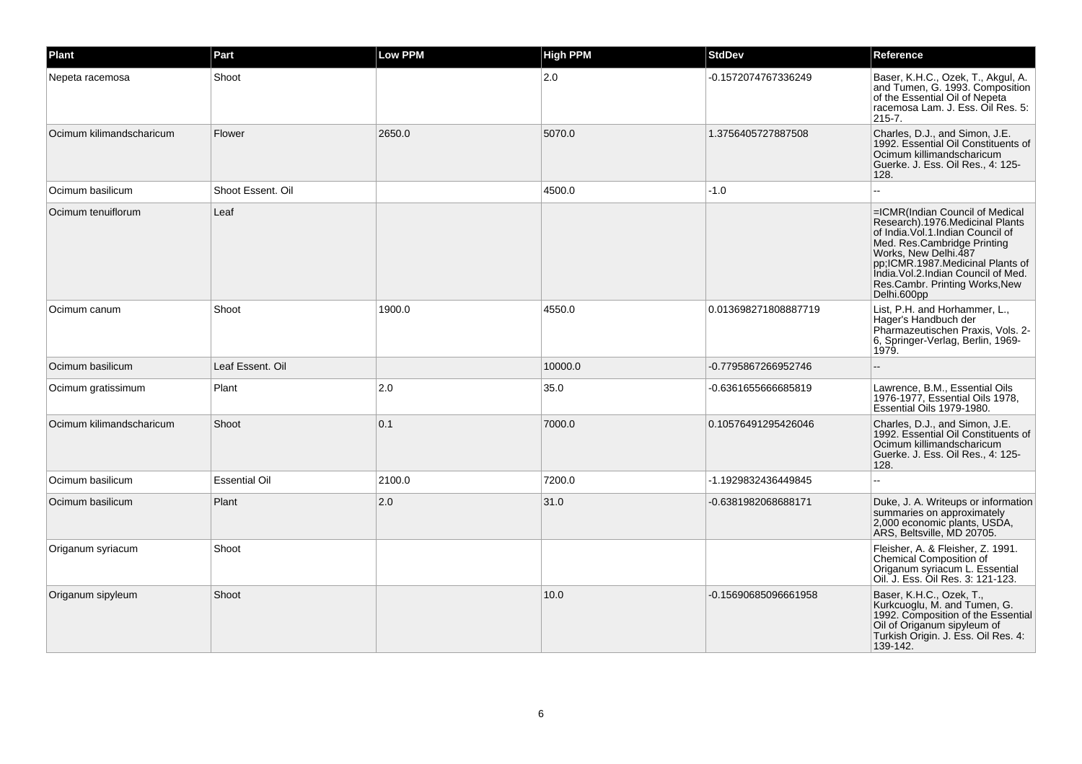| Plant                    | Part                 | Low PPM | <b>High PPM</b> | <b>StdDev</b>        | Reference                                                                                                                                                                                                                                                                                     |
|--------------------------|----------------------|---------|-----------------|----------------------|-----------------------------------------------------------------------------------------------------------------------------------------------------------------------------------------------------------------------------------------------------------------------------------------------|
| Nepeta racemosa          | Shoot                |         | 2.0             | -0.1572074767336249  | Baser, K.H.C., Ozek, T., Akgul, A.<br>and Tumen, G. 1993. Composition<br>of the Essential Oil of Nepeta<br>racemosa Lam. J. Ess. Oil Res. 5:<br>$215 - 7.$                                                                                                                                    |
| Ocimum kilimandscharicum | Flower               | 2650.0  | 5070.0          | 1.3756405727887508   | Charles, D.J., and Simon, J.E.<br>1992. Essential Oil Constituents of<br>Ocimum killimandscharicum<br>Guerke. J. Ess. Oil Res., 4: 125-<br>128.                                                                                                                                               |
| Ocimum basilicum         | Shoot Essent. Oil    |         | 4500.0          | $-1.0$               |                                                                                                                                                                                                                                                                                               |
| Ocimum tenuiflorum       | Leaf                 |         |                 |                      | =ICMR(Indian Council of Medical<br>Research).1976.Medicinal Plants<br>of India. Vol. 1. Indian Council of<br>Med. Res.Cambridge Printing<br>Works, New Delhi.487<br>pp;ICMR.1987.Medicinal Plants of<br>India. Vol.2. Indian Council of Med.<br>Res.Cambr. Printing Works, New<br>Delhi.600pp |
| Ocimum canum             | Shoot                | 1900.0  | 4550.0          | 0.013698271808887719 | List, P.H. and Horhammer, L.,<br>Hager's Handbuch der<br>Pharmazeutischen Praxis, Vols. 2-<br>6, Springer-Verlag, Berlin, 1969-<br>1979.                                                                                                                                                      |
| Ocimum basilicum         | Leaf Essent, Oil     |         | 10000.0         | -0.7795867266952746  |                                                                                                                                                                                                                                                                                               |
| Ocimum gratissimum       | Plant                | 2.0     | 35.0            | -0.6361655666685819  | Lawrence, B.M., Essential Oils<br>1976-1977, Essential Oils 1978,<br>Essential Oils 1979-1980.                                                                                                                                                                                                |
| Ocimum kilimandscharicum | Shoot                | 0.1     | 7000.0          | 0.10576491295426046  | Charles, D.J., and Simon, J.E.<br>1992. Essential Oil Constituents of<br>Ocimum killimandscharicum<br>Guerke. J. Ess. Oil Res., 4: 125-<br>128.                                                                                                                                               |
| Ocimum basilicum         | <b>Essential Oil</b> | 2100.0  | 7200.0          | -1.1929832436449845  |                                                                                                                                                                                                                                                                                               |
| Ocimum basilicum         | Plant                | 2.0     | 31.0            | -0.6381982068688171  | Duke, J. A. Writeups or information<br>summaries on approximately<br>2,000 economic plants, USDA,<br>ARS, Beltsville, MD 20705.                                                                                                                                                               |
| Origanum syriacum        | Shoot                |         |                 |                      | Fleisher, A. & Fleisher, Z. 1991.<br>Chemical Composition of<br>Origanum syriacum L. Essential<br>Oil. J. Ess. Oil Res. 3: 121-123.                                                                                                                                                           |
| Origanum sipyleum        | Shoot                |         | 10.0            | -0.15690685096661958 | Baser, K.H.C., Ozek, T.,<br>Kurkcuoglu, M. and Tumen, G.<br>1992. Composition of the Essential<br>Oil of Origanum sipyleum of<br>Turkish Origin. J. Ess. Oil Res. 4:<br>139-142.                                                                                                              |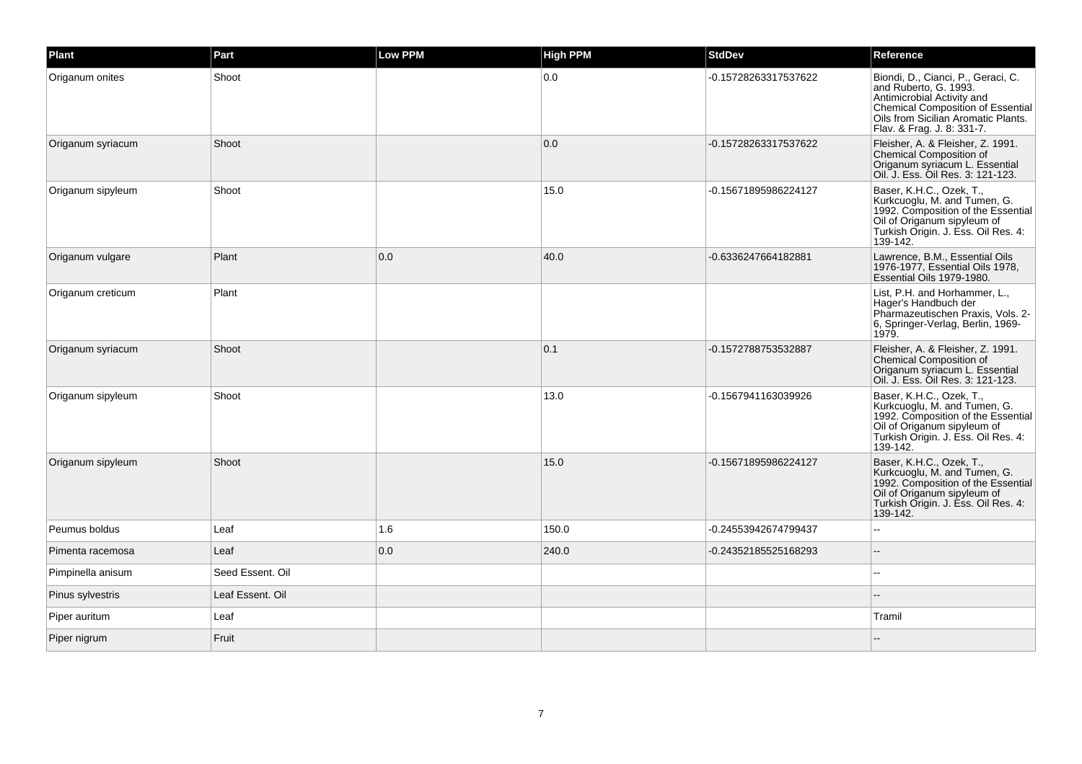| Plant             | Part             | Low PPM | <b>High PPM</b> | <b>StdDev</b>        | Reference                                                                                                                                                                                           |
|-------------------|------------------|---------|-----------------|----------------------|-----------------------------------------------------------------------------------------------------------------------------------------------------------------------------------------------------|
| Origanum onites   | Shoot            |         | 0.0             | -0.15728263317537622 | Biondi, D., Cianci, P., Geraci, C.<br>and Ruberto, G. 1993.<br>Antimicrobial Activity and<br>Chemical Composition of Essential<br>Oils from Sicilian Aromatic Plants.<br>Flav. & Frag. J. 8: 331-7. |
| Origanum syriacum | Shoot            |         | 0.0             | -0.15728263317537622 | Fleisher, A. & Fleisher, Z. 1991.<br><b>Chemical Composition of</b><br>Origanum syriacum L. Essential<br>Oil. J. Ess. Oil Res. 3: 121-123.                                                          |
| Origanum sipyleum | Shoot            |         | 15.0            | -0.15671895986224127 | Baser, K.H.C., Ozek, T.,<br>Kurkcuoglu, M. and Tumen, G.<br>1992. Composition of the Essential<br>Oil of Origanum sipyleum of<br>Turkish Origin. J. Ess. Oil Res. 4:<br>139-142.                    |
| Origanum vulgare  | Plant            | 0.0     | 40.0            | -0.6336247664182881  | Lawrence, B.M., Essential Oils<br>1976-1977, Essential Oils 1978,<br>Essential Oils 1979-1980.                                                                                                      |
| Origanum creticum | Plant            |         |                 |                      | List, P.H. and Horhammer, L.,<br>Hager's Handbuch der<br>Pharmazeutischen Praxis, Vols. 2-<br>6, Springer-Verlag, Berlin, 1969-<br>1979.                                                            |
| Origanum syriacum | Shoot            |         | 0.1             | -0.1572788753532887  | Fleisher, A. & Fleisher, Z. 1991.<br><b>Chemical Composition of</b><br>Origanum syriacum L. Essential<br>Oil. J. Ess. Oil Res. 3: 121-123.                                                          |
| Origanum sipyleum | Shoot            |         | 13.0            | -0.1567941163039926  | Baser, K.H.C., Ozek, T.,<br>Kurkcuoglu, M. and Tumen, G.<br>1992. Composition of the Essential<br>Oil of Origanum sipyleum of<br>Turkish Origin. J. Ess. Oil Res. 4:<br>139-142.                    |
| Origanum sipyleum | Shoot            |         | 15.0            | -0.15671895986224127 | Baser, K.H.C., Ozek, T.,<br>Kurkcuoglu, M. and Tumen, G.<br>1992. Composition of the Essential<br>Oil of Origanum sipyleum of<br>Turkish Origin. J. Ess. Oil Res. 4:<br>139-142.                    |
| Peumus boldus     | Leaf             | 1.6     | 150.0           | -0.24553942674799437 |                                                                                                                                                                                                     |
| Pimenta racemosa  | Leaf             | 0.0     | 240.0           | -0.24352185525168293 |                                                                                                                                                                                                     |
| Pimpinella anisum | Seed Essent. Oil |         |                 |                      |                                                                                                                                                                                                     |
| Pinus sylvestris  | Leaf Essent. Oil |         |                 |                      |                                                                                                                                                                                                     |
| Piper auritum     | Leaf             |         |                 |                      | Tramil                                                                                                                                                                                              |
| Piper nigrum      | Fruit            |         |                 |                      |                                                                                                                                                                                                     |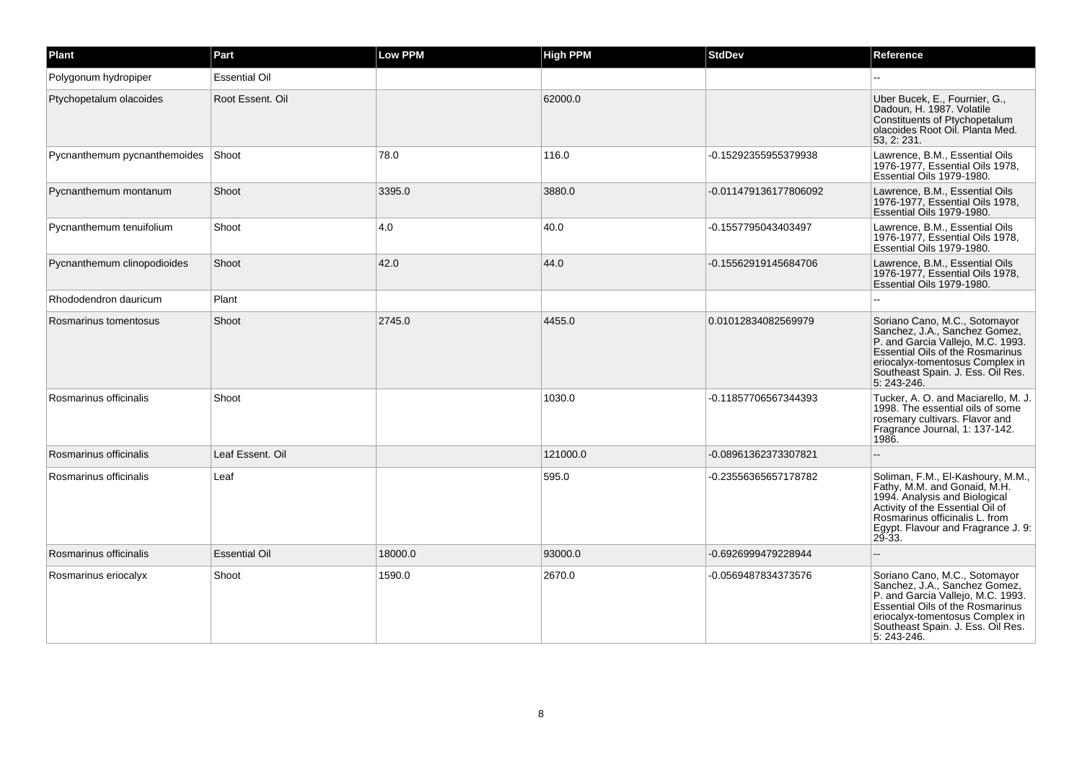| Plant                        | Part                 | <b>Low PPM</b> | <b>High PPM</b> | <b>StdDev</b>         | Reference                                                                                                                                                                                                                      |
|------------------------------|----------------------|----------------|-----------------|-----------------------|--------------------------------------------------------------------------------------------------------------------------------------------------------------------------------------------------------------------------------|
| Polygonum hydropiper         | <b>Essential Oil</b> |                |                 |                       |                                                                                                                                                                                                                                |
| Ptychopetalum olacoides      | Root Essent. Oil     |                | 62000.0         |                       | Uber Bucek, E., Fournier, G.,<br>Dadoun, H. 1987, Volatile<br>Constituents of Ptychopetalum<br>olacoides Root Oil. Planta Med.<br>53, 2: 231.                                                                                  |
| Pycnanthemum pycnanthemoides | Shoot                | 78.0           | 116.0           | -0.15292355955379938  | Lawrence, B.M., Essential Oils<br>1976-1977, Essential Oils 1978,<br>Essential Oils 1979-1980.                                                                                                                                 |
| Pycnanthemum montanum        | Shoot                | 3395.0         | 3880.0          | -0.011479136177806092 | Lawrence, B.M., Essential Oils<br>1976-1977, Essential Oils 1978,<br>Essential Oils 1979-1980.                                                                                                                                 |
| Pycnanthemum tenuifolium     | Shoot                | 4.0            | 40.0            | -0.1557795043403497   | Lawrence, B.M., Essential Oils<br>1976-1977, Essential Oils 1978,<br>Essential Oils 1979-1980.                                                                                                                                 |
| Pycnanthemum clinopodioides  | Shoot                | 42.0           | 44.0            | -0.15562919145684706  | Lawrence, B.M., Essential Oils<br>1976-1977, Essential Oils 1978,<br>Essential Oils 1979-1980.                                                                                                                                 |
| Rhododendron dauricum        | Plant                |                |                 |                       |                                                                                                                                                                                                                                |
| Rosmarinus tomentosus        | Shoot                | 2745.0         | 4455.0          | 0.01012834082569979   | Soriano Cano, M.C., Sotomayor<br>Sanchez, J.A., Sanchez Gomez,<br>P. and Garcia Vallejo, M.C. 1993.<br>Essential Oils of the Rosmarinus<br>eriocalyx-tomentosus Complex in<br>Southeast Spain. J. Ess. Oil Res.<br>5: 243-246. |
| Rosmarinus officinalis       | Shoot                |                | 1030.0          | -0.11857706567344393  | Tucker. A. O. and Maciarello. M. J.<br>1998. The essential oils of some<br>rosemary cultivars. Flavor and<br>Fragrance Journal, 1: 137-142.<br>1986.                                                                           |
| Rosmarinus officinalis       | Leaf Essent. Oil     |                | 121000.0        | -0.08961362373307821  |                                                                                                                                                                                                                                |
| Rosmarinus officinalis       | Leaf                 |                | 595.0           | -0.23556365657178782  | Soliman, F.M., El-Kashoury, M.M.,<br>Fathy, M.M. and Gonaid, M.H.<br>1994. Analysis and Biological<br>Activity of the Essential Oil of<br>Rosmarinus officinalis L. from<br>Egypt. Flavour and Fragrance J. 9:<br>29-33.       |
| Rosmarinus officinalis       | <b>Essential Oil</b> | 18000.0        | 93000.0         | -0.6926999479228944   |                                                                                                                                                                                                                                |
| Rosmarinus eriocalyx         | Shoot                | 1590.0         | 2670.0          | -0.0569487834373576   | Soriano Cano, M.C., Sotomayor<br>Sanchez, J.A., Sanchez Gomez,<br>P. and Garcia Vallejo, M.C. 1993.<br>Essential Oils of the Rosmarinus<br>eriocalyx-tomentosus Complex in<br>Southeast Spain. J. Ess. Oil Res.<br>5: 243-246. |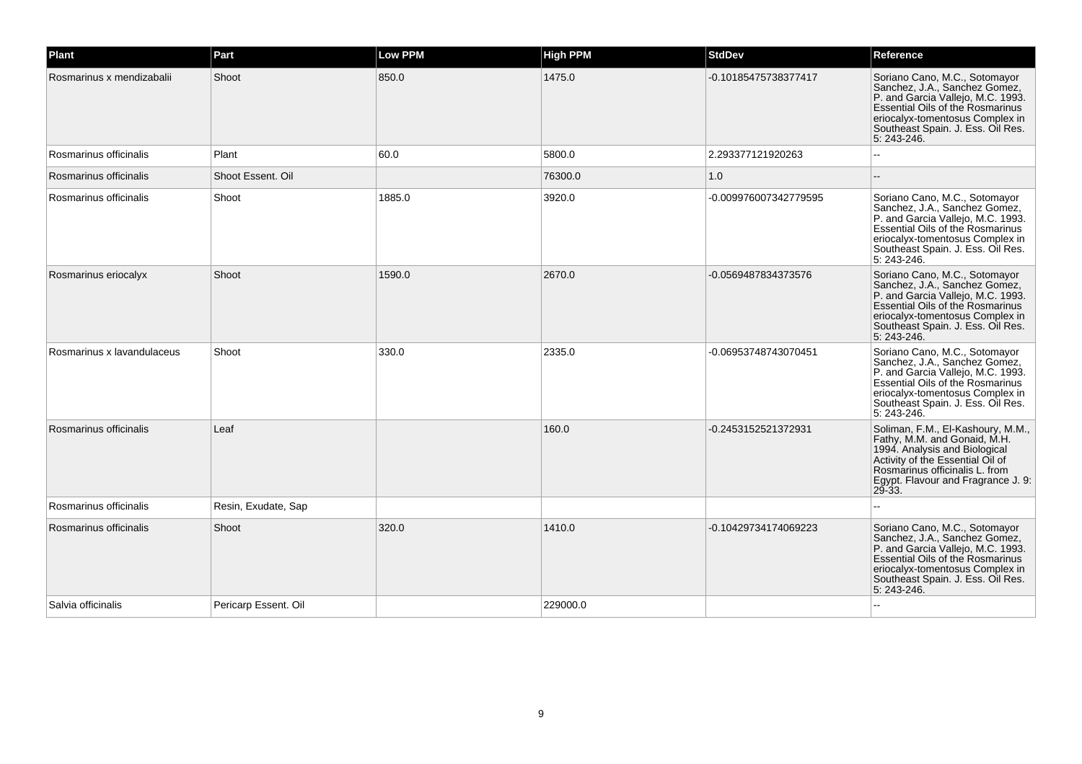| Plant                      | Part                 | Low PPM | <b>High PPM</b> | <b>StdDev</b>         | Reference                                                                                                                                                                                                                             |
|----------------------------|----------------------|---------|-----------------|-----------------------|---------------------------------------------------------------------------------------------------------------------------------------------------------------------------------------------------------------------------------------|
| Rosmarinus x mendizabalii  | Shoot                | 850.0   | 1475.0          | -0.10185475738377417  | Soriano Cano, M.C., Sotomayor<br>Sanchez, J.A., Sanchez Gomez,<br>P. and Garcia Vallejo, M.C. 1993.<br>Essential Oils of the Rosmarinus<br>eriocalyx-tomentosus Complex in<br>Southeast Spain. J. Ess. Oil Res.<br>5: 243-246.        |
| Rosmarinus officinalis     | Plant                | 60.0    | 5800.0          | 2.293377121920263     |                                                                                                                                                                                                                                       |
| Rosmarinus officinalis     | Shoot Essent, Oil    |         | 76300.0         | 1.0                   |                                                                                                                                                                                                                                       |
| Rosmarinus officinalis     | Shoot                | 1885.0  | 3920.0          | -0.009976007342779595 | Soriano Cano, M.C., Sotomayor<br>Sanchez, J.A., Sanchez Gomez,<br>P. and Garcia Vallejo, M.C. 1993.<br>Essential Oils of the Rosmarinus<br>eriocalyx-tomentosus Complex in<br>Southeast Spain. J. Ess. Oil Res.<br>5: 243-246.        |
| Rosmarinus eriocalyx       | Shoot                | 1590.0  | 2670.0          | -0.0569487834373576   | Soriano Cano, M.C., Sotomayor<br>Sanchez, J.A., Sanchez Gomez,<br>P. and Garcia Vallejo, M.C. 1993.<br>Essential Oils of the Rosmarinus<br>eriocalyx-tomentosus Complex in<br>Southeast Spain. J. Ess. Oil Res.<br>5: 243-246.        |
| Rosmarinus x lavandulaceus | Shoot                | 330.0   | 2335.0          | -0.06953748743070451  | Soriano Cano, M.C., Sotomayor<br>Sanchez, J.A., Sanchez Gomez,<br>P. and Garcia Vallejo, M.C. 1993.<br><b>Essential Oils of the Rosmarinus</b><br>eriocalyx-tomentosus Complex in<br>Southeast Spain. J. Ess. Oil Res.<br>5: 243-246. |
| Rosmarinus officinalis     | Leaf                 |         | 160.0           | -0.2453152521372931   | Soliman, F.M., El-Kashoury, M.M.,<br>Fathy, M.M. and Gonaid, M.H.<br>1994. Analysis and Biological<br>Activity of the Essential Oil of<br>Rosmarinus officinalis L. from<br>Egypt. Flavour and Fragrance J. 9:<br>$29 - 33$           |
| Rosmarinus officinalis     | Resin, Exudate, Sap  |         |                 |                       |                                                                                                                                                                                                                                       |
| Rosmarinus officinalis     | Shoot                | 320.0   | 1410.0          | -0.10429734174069223  | Soriano Cano, M.C., Sotomayor<br>Sanchez, J.A., Sanchez Gomez,<br>P. and Garcia Vallejo, M.C. 1993.<br>Essential Oils of the Rosmarinus<br>eriocalyx-tomentosus Complex in<br>Southeast Spain. J. Ess. Oil Res.<br>5: 243-246.        |
| Salvia officinalis         | Pericarp Essent. Oil |         | 229000.0        |                       |                                                                                                                                                                                                                                       |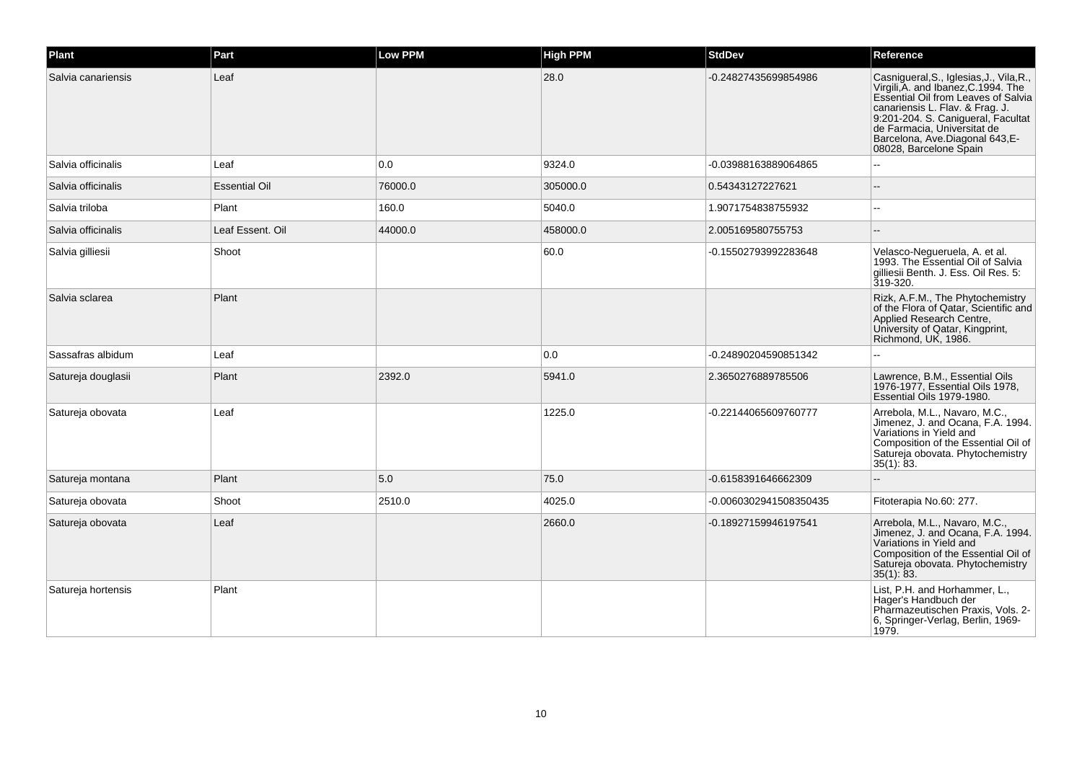| Plant              | Part                 | <b>Low PPM</b> | <b>High PPM</b> | <b>StdDev</b>          | Reference                                                                                                                                                                                                                                                                                  |
|--------------------|----------------------|----------------|-----------------|------------------------|--------------------------------------------------------------------------------------------------------------------------------------------------------------------------------------------------------------------------------------------------------------------------------------------|
| Salvia canariensis | Leaf                 |                | 28.0            | -0.24827435699854986   | Casnigueral, S., Iglesias, J., Vila, R.,<br>Virgili, A. and Ibanez, C.1994. The<br>Essential Oil from Leaves of Salvia<br>canariensis L. Flav. & Frag. J.<br>9:201-204. S. Canigueral, Facultat<br>de Farmacia, Universitat de<br>Barcelona, Ave.Diagonal 643,E-<br>08028, Barcelone Spain |
| Salvia officinalis | Leaf                 | 0.0            | 9324.0          | -0.03988163889064865   |                                                                                                                                                                                                                                                                                            |
| Salvia officinalis | <b>Essential Oil</b> | 76000.0        | 305000.0        | 0.54343127227621       |                                                                                                                                                                                                                                                                                            |
| Salvia triloba     | Plant                | 160.0          | 5040.0          | 1.9071754838755932     |                                                                                                                                                                                                                                                                                            |
| Salvia officinalis | Leaf Essent. Oil     | 44000.0        | 458000.0        | 2.005169580755753      |                                                                                                                                                                                                                                                                                            |
| Salvia gilliesii   | Shoot                |                | 60.0            | -0.15502793992283648   | Velasco-Negueruela, A. et al.<br>1993. The Essential Oil of Salvia<br>gilliesii Benth. J. Ess. Oil Res. 5:<br>319-320.                                                                                                                                                                     |
| Salvia sclarea     | Plant                |                |                 |                        | Rizk, A.F.M., The Phytochemistry<br>of the Flora of Qatar, Scientific and<br>Applied Research Centre,<br>University of Qatar, Kingprint,<br>Richmond, UK, 1986.                                                                                                                            |
| Sassafras albidum  | Leaf                 |                | 0.0             | -0.24890204590851342   |                                                                                                                                                                                                                                                                                            |
| Satureja douglasii | Plant                | 2392.0         | 5941.0          | 2.3650276889785506     | Lawrence, B.M., Essential Oils<br>1976-1977, Essential Oils 1978,<br>Essential Oils 1979-1980.                                                                                                                                                                                             |
| Satureja obovata   | Leaf                 |                | 1225.0          | -0.22144065609760777   | Arrebola, M.L., Navaro, M.C.,<br>Jimenez, J. and Ocana, F.A. 1994.<br>Variations in Yield and<br>Composition of the Essential Oil of<br>Satureja obovata. Phytochemistry<br>$35(1)$ : 83.                                                                                                  |
| Satureja montana   | Plant                | 5.0            | 75.0            | -0.6158391646662309    |                                                                                                                                                                                                                                                                                            |
| Satureja obovata   | Shoot                | 2510.0         | 4025.0          | -0.0060302941508350435 | Fitoterapia No.60: 277.                                                                                                                                                                                                                                                                    |
| Satureja obovata   | Leaf                 |                | 2660.0          | -0.18927159946197541   | Arrebola, M.L., Navaro, M.C.,<br>Jimenez, J. and Ocana, F.A. 1994.<br>Variations in Yield and<br>Composition of the Essential Oil of<br>Satureja obovata. Phytochemistry<br>$35(1)$ : 83.                                                                                                  |
| Satureja hortensis | Plant                |                |                 |                        | List, P.H. and Horhammer, L.,<br>Hager's Handbuch der<br>Pharmazeutischen Praxis, Vols. 2-<br>6, Springer-Verlag, Berlin, 1969-<br>1979.                                                                                                                                                   |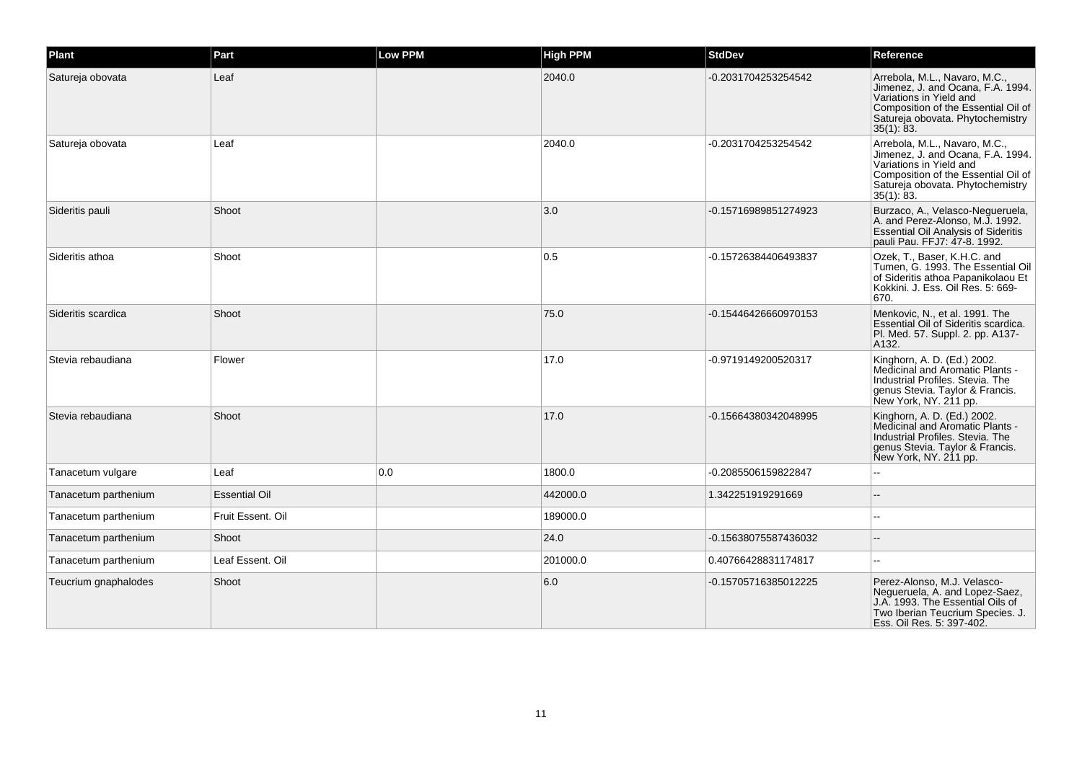| Plant                | Part                 | <b>Low PPM</b> | <b>High PPM</b> | <b>StdDev</b>        | Reference                                                                                                                                                                                 |
|----------------------|----------------------|----------------|-----------------|----------------------|-------------------------------------------------------------------------------------------------------------------------------------------------------------------------------------------|
| Satureja obovata     | Leaf                 |                | 2040.0          | -0.2031704253254542  | Arrebola, M.L., Navaro, M.C.,<br>Jimenez, J. and Ocana, F.A. 1994.<br>Variations in Yield and<br>Composition of the Essential Oil of<br>Satureja obovata. Phytochemistry<br>35(1): 83.    |
| Satureja obovata     | Leaf                 |                | 2040.0          | -0.2031704253254542  | Arrebola, M.L., Navaro, M.C.,<br>Jimenez, J. and Ocana, F.A. 1994.<br>Variations in Yield and<br>Composition of the Essential Oil of<br>Satureja obovata. Phytochemistry<br>$35(1)$ : 83. |
| Sideritis pauli      | Shoot                |                | 3.0             | -0.15716989851274923 | Burzaco, A., Velasco-Negueruela,<br>A. and Perez-Alonso, M.J. 1992.<br><b>Essential Oil Analysis of Sideritis</b><br>pauli Pau. FFJ7: 47-8. 1992.                                         |
| Sideritis athoa      | Shoot                |                | 0.5             | -0.15726384406493837 | Ozek, T., Baser, K.H.C. and<br>Tumen, G. 1993. The Essential Oil<br>of Sideritis athoa Papanikolaou Et<br>Kokkini. J. Ess. Oil Res. 5: 669-<br>670.                                       |
| Sideritis scardica   | Shoot                |                | 75.0            | -0.15446426660970153 | Menkovic, N., et al. 1991. The<br>Essential Oil of Sideritis scardica.<br>Pl. Med. 57. Suppl. 2. pp. A137-<br>A132.                                                                       |
| Stevia rebaudiana    | Flower               |                | 17.0            | -0.9719149200520317  | Kinghorn, A. D. (Ed.) 2002.<br>Medicinal and Aromatic Plants -<br>Industrial Profiles, Stevia, The<br>genus Stevia. Taylor & Francis.<br>New York, NY. 211 pp.                            |
| Stevia rebaudiana    | Shoot                |                | 17.0            | -0.15664380342048995 | Kinghorn, A. D. (Ed.) 2002.<br>Medicinal and Aromatic Plants -<br>Industrial Profiles, Stevia, The<br>genus Stevia. Taylor & Francis.<br>New York, NY. 211 pp.                            |
| Tanacetum vulgare    | Leaf                 | 0.0            | 1800.0          | -0.2085506159822847  |                                                                                                                                                                                           |
| Tanacetum parthenium | <b>Essential Oil</b> |                | 442000.0        | 1.342251919291669    |                                                                                                                                                                                           |
| Tanacetum parthenium | Fruit Essent. Oil    |                | 189000.0        |                      | $\overline{a}$                                                                                                                                                                            |
| Tanacetum parthenium | Shoot                |                | 24.0            | -0.15638075587436032 |                                                                                                                                                                                           |
| Tanacetum parthenium | Leaf Essent. Oil     |                | 201000.0        | 0.40766428831174817  | --                                                                                                                                                                                        |
| Teucrium gnaphalodes | Shoot                |                | 6.0             | -0.15705716385012225 | Perez-Alonso, M.J. Velasco-<br>Negueruela, A. and Lopez-Saez,<br>J.A. 1993. The Essential Oils of<br>Two Iberian Teucrium Species. J.<br>Ess. Oil Res. 5: 397-402.                        |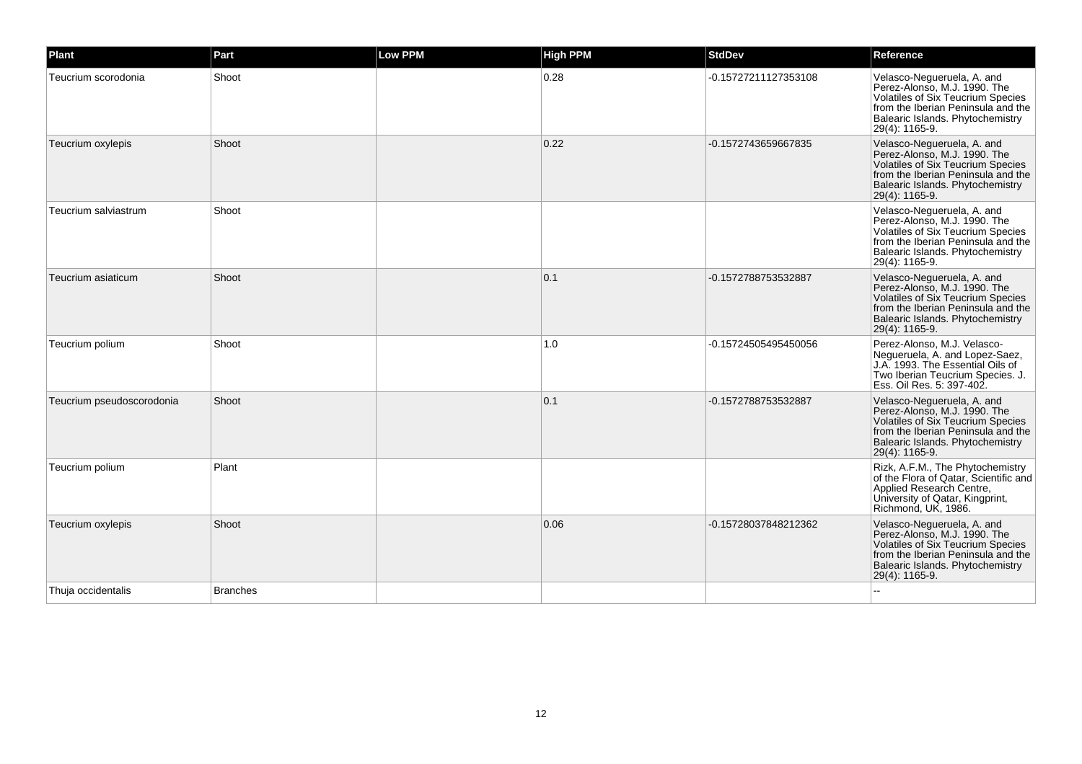| Plant                     | Part            | <b>Low PPM</b> | <b>High PPM</b> | <b>StdDev</b>        | Reference                                                                                                                                                                                          |
|---------------------------|-----------------|----------------|-----------------|----------------------|----------------------------------------------------------------------------------------------------------------------------------------------------------------------------------------------------|
| Teucrium scorodonia       | Shoot           |                | 0.28            | -0.15727211127353108 | Velasco-Negueruela, A. and<br>Perez-Alonso, M.J. 1990. The<br>Volatiles of Six Teucrium Species<br>from the Iberian Peninsula and the<br>Balearic Islands. Phytochemistry<br>29(4): 1165-9.        |
| Teucrium oxylepis         | Shoot           |                | 0.22            | -0.1572743659667835  | Velasco-Negueruela, A. and<br>Perez-Alonso, M.J. 1990. The<br><b>Volatiles of Six Teucrium Species</b><br>from the Iberian Peninsula and the<br>Balearic Islands. Phytochemistry<br>29(4): 1165-9. |
| Teucrium salviastrum      | Shoot           |                |                 |                      | Velasco-Negueruela, A. and<br>Perez-Alonso, M.J. 1990. The<br>Volatiles of Six Teucrium Species<br>from the Iberian Peninsula and the<br>Balearic Islands. Phytochemistry<br>29(4): 1165-9.        |
| Teucrium asiaticum        | Shoot           |                | 0.1             | -0.1572788753532887  | Velasco-Negueruela, A. and<br>Perez-Alonso, M.J. 1990. The<br><b>Volatiles of Six Teucrium Species</b><br>from the Iberian Peninsula and the<br>Balearic Islands. Phytochemistry<br>29(4): 1165-9. |
| Teucrium polium           | Shoot           |                | 1.0             | -0.15724505495450056 | Perez-Alonso, M.J. Velasco-<br>Negueruela, A. and Lopez-Saez,<br>J.A. 1993. The Essential Oils of<br>Two Iberian Teucrium Species. J.<br>Ess. Oil Res. 5: 397-402.                                 |
| Teucrium pseudoscorodonia | Shoot           |                | 0.1             | -0.1572788753532887  | Velasco-Negueruela, A. and<br>Perez-Alonso, M.J. 1990. The<br><b>Volatiles of Six Teucrium Species</b><br>from the Iberian Peninsula and the<br>Balearic Islands. Phytochemistry<br>29(4): 1165-9. |
| Teucrium polium           | Plant           |                |                 |                      | Rizk, A.F.M., The Phytochemistry<br>of the Flora of Qatar, Scientific and<br>Applied Research Centre,<br>University of Qatar, Kingprint,<br>Richmond, UK, 1986.                                    |
| Teucrium oxylepis         | Shoot           |                | 0.06            | -0.15728037848212362 | Velasco-Negueruela, A. and<br>Perez-Alonso, M.J. 1990. The<br><b>Volatiles of Six Teucrium Species</b><br>from the Iberian Peninsula and the<br>Balearic Islands. Phytochemistry<br>29(4): 1165-9. |
| Thuja occidentalis        | <b>Branches</b> |                |                 |                      |                                                                                                                                                                                                    |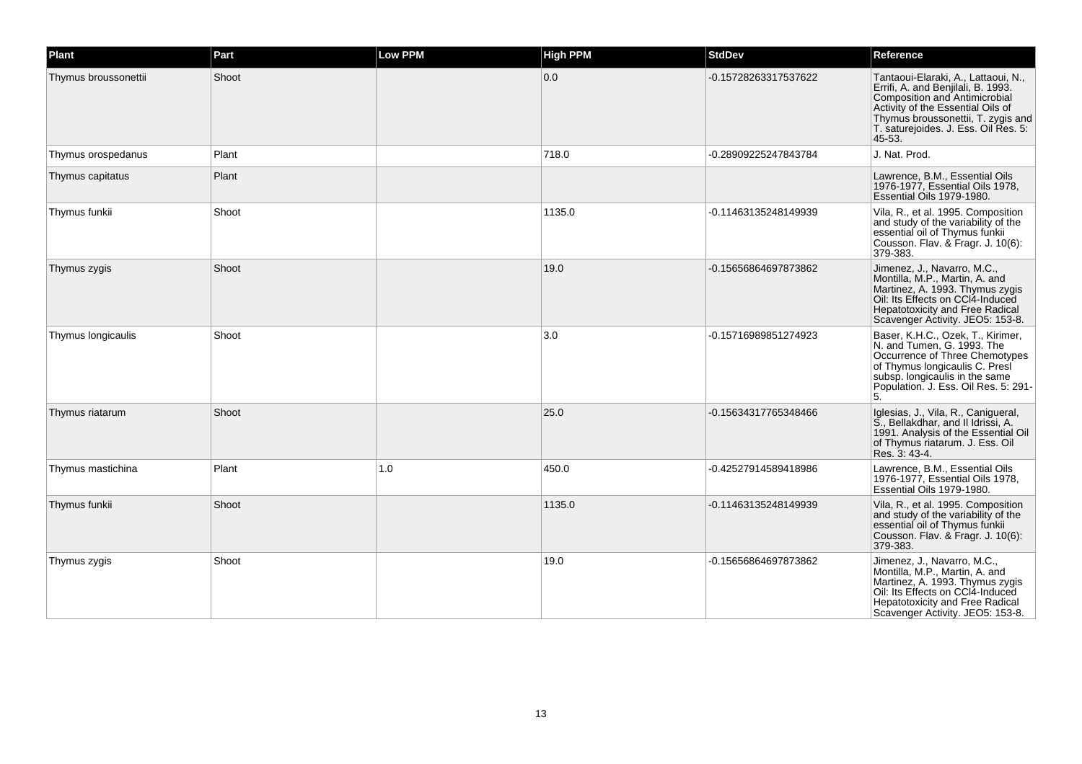| Plant                | Part  | <b>Low PPM</b> | <b>High PPM</b> | <b>StdDev</b>        | Reference                                                                                                                                                                                                                               |
|----------------------|-------|----------------|-----------------|----------------------|-----------------------------------------------------------------------------------------------------------------------------------------------------------------------------------------------------------------------------------------|
| Thymus broussonettii | Shoot |                | 0.0             | -0.15728263317537622 | Tantaoui-Elaraki, A., Lattaoui, N.,<br>Errifi, A. and Benjilali, B. 1993.<br>Composition and Antimicrobial<br>Activity of the Essential Oils of<br>Thymus broussonettii, T. zygis and<br>T. saturejoides. J. Ess. Oil Res. 5:<br>45-53. |
| Thymus orospedanus   | Plant |                | 718.0           | -0.28909225247843784 | J. Nat. Prod.                                                                                                                                                                                                                           |
| Thymus capitatus     | Plant |                |                 |                      | Lawrence, B.M., Essential Oils<br>1976-1977. Essential Oils 1978.<br>Essential Oils 1979-1980.                                                                                                                                          |
| Thymus funkii        | Shoot |                | 1135.0          | -0.11463135248149939 | Vila, R., et al. 1995. Composition<br>and study of the variability of the<br>essential oil of Thymus funkii<br>Cousson. Flav. & Fragr. J. 10(6):<br>379-383.                                                                            |
| Thymus zygis         | Shoot |                | 19.0            | -0.15656864697873862 | Jimenez, J., Navarro, M.C.,<br>Montilla, M.P., Martin, A. and<br>Martinez, A. 1993. Thymus zygis<br>Oil: Its Effects on CCI4-Induced<br><b>Hepatotoxicity and Free Radical</b><br>Scavenger Activity. JEO5: 153-8.                      |
| Thymus longicaulis   | Shoot |                | 3.0             | -0.15716989851274923 | Baser, K.H.C., Ozek, T., Kirimer,<br>N. and Tumen, G. 1993. The<br>Occurrence of Three Chemotypes<br>of Thymus longicaulis C. Presi<br>subsp. longicaulis in the same<br>Population. J. Ess. Oil Res. 5: 291-<br>5.                     |
| Thymus riatarum      | Shoot |                | 25.0            | -0.15634317765348466 | Iglesias, J., Vila, R., Canigueral,<br>S., Bellakdhar, and II Idrissi, A.<br>1991. Analysis of the Essential Oil<br>of Thymus riatarum. J. Ess. Oil<br>Res. 3: 43-4.                                                                    |
| Thymus mastichina    | Plant | 1.0            | 450.0           | -0.42527914589418986 | Lawrence, B.M., Essential Oils<br>1976-1977, Essential Oils 1978,<br>Essential Oils 1979-1980.                                                                                                                                          |
| Thymus funkii        | Shoot |                | 1135.0          | -0.11463135248149939 | Vila, R., et al. 1995. Composition<br>and study of the variability of the<br>essential oil of Thymus funkii<br>Cousson. Flav. & Fragr. J. 10(6):<br>379-383.                                                                            |
| Thymus zygis         | Shoot |                | 19.0            | -0.15656864697873862 | Jimenez, J., Navarro, M.C.,<br>Montilla, M.P., Martin, A. and<br>Martinez, A. 1993. Thymus zygis<br>Oil: Its Effects on CCI4-Induced<br>Hepatotoxicity and Free Radical<br>Scavenger Activity. JEO5: 153-8.                             |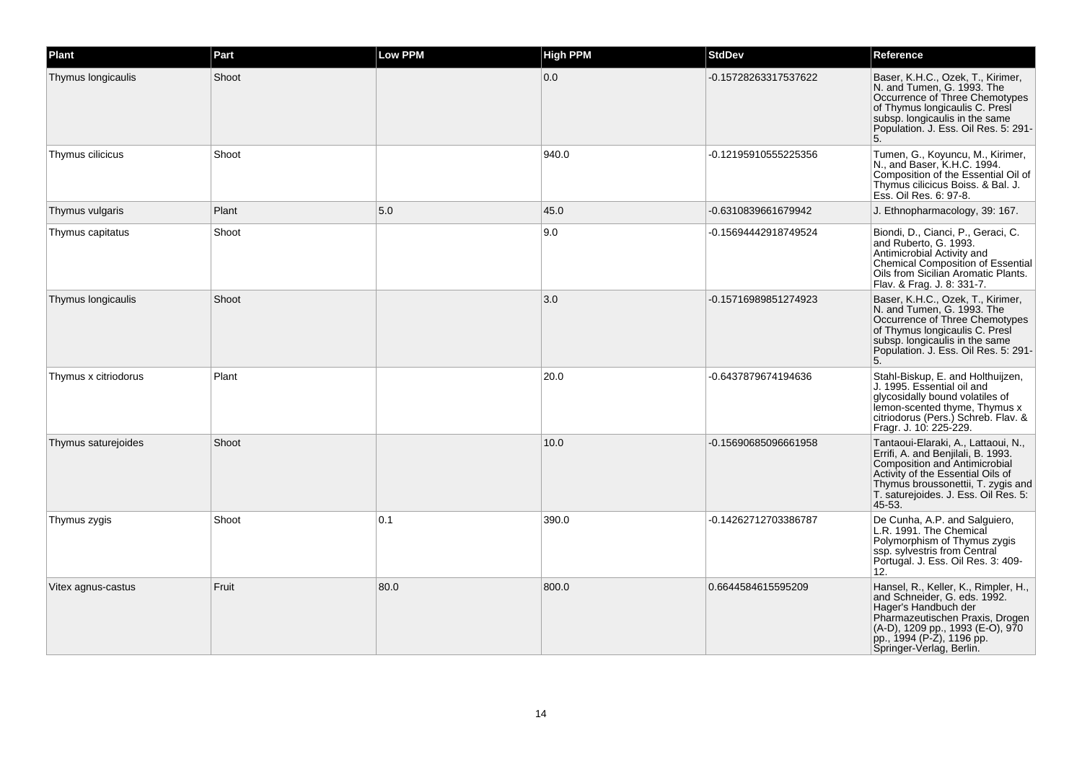| Plant                | Part  | <b>Low PPM</b> | <b>High PPM</b> | <b>StdDev</b>        | Reference                                                                                                                                                                                                                               |
|----------------------|-------|----------------|-----------------|----------------------|-----------------------------------------------------------------------------------------------------------------------------------------------------------------------------------------------------------------------------------------|
| Thymus longicaulis   | Shoot |                | 0.0             | -0.15728263317537622 | Baser, K.H.C., Ozek, T., Kirimer,<br>N. and Tumen, G. 1993. The<br>Occurrence of Three Chemotypes<br>of Thymus longicaulis C. Presi<br>subsp. longicaulis in the same<br>Population. J. Ess. Oil Res. 5: 291-<br>5.                     |
| Thymus cilicicus     | Shoot |                | 940.0           | -0.12195910555225356 | Tumen, G., Koyuncu, M., Kirimer,<br>N., and Baser, K.H.C. 1994.<br>Composition of the Essential Oil of<br>Thymus cilicicus Boiss. & Bal. J.<br>Ess. Oil Res. 6: 97-8.                                                                   |
| Thymus vulgaris      | Plant | 5.0            | 45.0            | -0.6310839661679942  | J. Ethnopharmacology, 39: 167.                                                                                                                                                                                                          |
| Thymus capitatus     | Shoot |                | 9.0             | -0.15694442918749524 | Biondi, D., Cianci, P., Geraci, C.<br>and Ruberto, G. 1993.<br>Antimicrobial Activity and<br>Chemical Composition of Essential<br>Oils from Sicilian Aromatic Plants.<br>Flav. & Frag. J. 8: 331-7.                                     |
| Thymus longicaulis   | Shoot |                | 3.0             | -0.15716989851274923 | Baser, K.H.C., Ozek, T., Kirimer,<br>N. and Tumen, G. 1993. The<br>Occurrence of Three Chemotypes<br>of Thymus longicaulis C. Presi<br>subsp. longicaulis in the same<br>Population. J. Ess. Oil Res. 5: 291-<br>5.                     |
| Thymus x citriodorus | Plant |                | 20.0            | -0.6437879674194636  | Stahl-Biskup, E. and Holthuijzen,<br>J. 1995. Essential oil and<br>glycosidally bound volatiles of<br>lemon-scented thyme. Thymus x<br>citriodorus (Pers.) Schreb. Flav. &<br>Fragr. J. 10: 225-229.                                    |
| Thymus saturejoides  | Shoot |                | 10.0            | -0.15690685096661958 | Tantaoui-Elaraki, A., Lattaoui, N.,<br>Errifi, A. and Benjilali, B. 1993.<br>Composition and Antimicrobial<br>Activity of the Essential Oils of<br>Thymus broussonettii, T. zygis and<br>T. saturejoides. J. Ess. Oil Res. 5:<br>45-53. |
| Thymus zygis         | Shoot | 0.1            | 390.0           | -0.14262712703386787 | De Cunha, A.P. and Salguiero,<br>L.R. 1991. The Chemical<br>Polymorphism of Thymus zygis<br>ssp. sylvestris from Central<br>Portugal. J. Ess. Oil Res. 3: 409-<br>12.                                                                   |
| Vitex agnus-castus   | Fruit | 80.0           | 800.0           | 0.6644584615595209   | Hansel, R., Keller, K., Rimpler, H.,<br>and Schneider, G. eds. 1992.<br>Hager's Handbuch der<br>Pharmazeutischen Praxis, Drogen<br>(A-D), 1209 pp., 1993 (E-O), 970<br>pp., 1994 (P-Z), 1196 pp.<br>Springer-Verlag, Berlin.            |